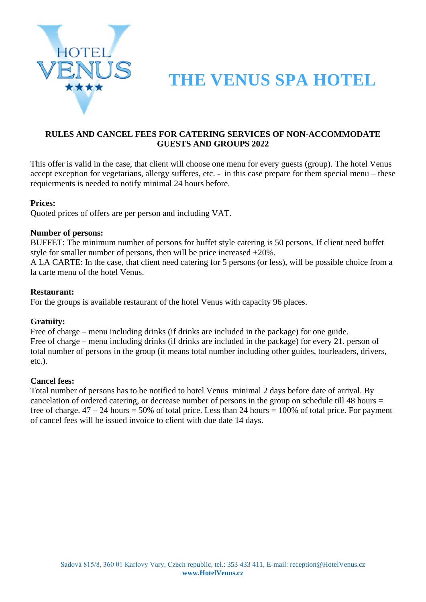

# **THE VENUS SPA HOTEL**

### **RULES AND CANCEL FEES FOR CATERING SERVICES OF NON-ACCOMMODATE GUESTS AND GROUPS 2022**

This offer is valid in the case, that client will choose one menu for every guests (group). The hotel Venus accept exception for vegetarians, allergy sufferes, etc. - in this case prepare for them special menu – these requierments is needed to notify minimal 24 hours before.

### **Prices:**

Quoted prices of offers are per person and including VAT.

### **Number of persons:**

BUFFET: The minimum number of persons for buffet style catering is 50 persons. If client need buffet style for smaller number of persons, then will be price increased +20%.

A LA CARTE: In the case, that client need catering for 5 persons (or less), will be possible choice from a la carte menu of the hotel Venus.

#### **Restaurant:**

For the groups is available restaurant of the hotel Venus with capacity 96 places.

### **Gratuity:**

Free of charge – menu including drinks (if drinks are included in the package) for one guide. Free of charge – menu including drinks (if drinks are included in the package) for every 21. person of total number of persons in the group (it means total number including other guides, tourleaders, drivers, etc.).

### **Cancel fees:**

Total number of persons has to be notified to hotel Venus minimal 2 days before date of arrival. By cancelation of ordered catering, or decrease number of persons in the group on schedule till 48 hours = free of charge.  $47 - 24$  hours = 50% of total price. Less than 24 hours = 100% of total price. For payment of cancel fees will be issued invoice to client with due date 14 days.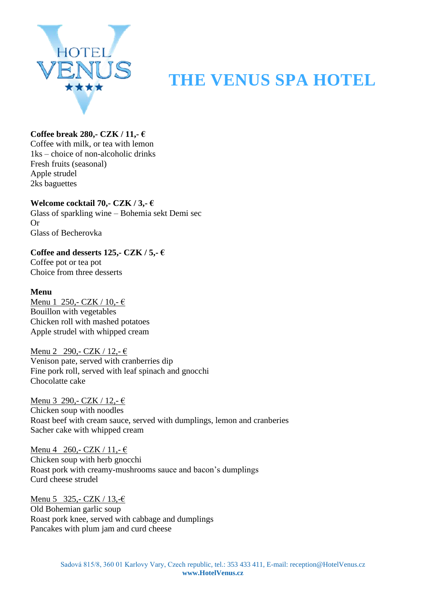

# **ENUS** THE VENUS SPA HOTEL

## **Coffee break 280,- CZK / 11,- €**

Coffee with milk, or tea with lemon 1ks – choice of non-alcoholic drinks Fresh fruits (seasonal) Apple strudel 2ks baguettes

**Welcome cocktail 70,- CZK / 3,- €** Glass of sparkling wine – Bohemia sekt Demi sec Or Glass of Becherovka

Coffee and desserts 125,- $CZK / 5$ ,- $\epsilon$ Coffee pot or tea pot

Choice from three desserts

### **Menu**

Menu 1 250,- CZK / 10,-  $\in$ Bouillon with vegetables Chicken roll with mashed potatoes Apple strudel with whipped cream

Menu 2 290,- CZK / 12,-  $\epsilon$ Venison pate, served with cranberries dip Fine pork roll, served with leaf spinach and gnocchi Chocolatte cake

Menu 3 290,- CZK / 12,-  $\in$ Chicken soup with noodles Roast beef with cream sauce, served with dumplings, lemon and cranberies Sacher cake with whipped cream

Menu 4 260,- CZK / 11,-  $\in$ Chicken soup with herb gnocchi Roast pork with creamy-mushrooms sauce and bacon's dumplings Curd cheese strudel

Menu 5 325,- CZK / 13,- $\epsilon$ Old Bohemian garlic soup Roast pork knee, served with cabbage and dumplings Pancakes with plum jam and curd cheese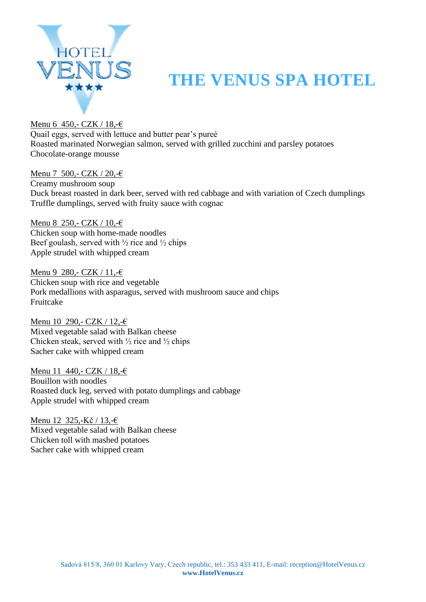

# **ENUS THE VENUS SPA HOTEL**

Menu 6 450,- CZK / 18,-€ Quail eggs, served with lettuce and butter pear's pureé Roasted marinated Norwegian salmon, served with grilled zucchini and parsley potatoes Chocolate-orange mousse

Menu 7 500,- CZK / 20,-€ Creamy mushroom soup Duck breast roasted in dark beer, served with red cabbage and with variation of Czech dumplings Truffle dumplings, served with fruity sauce with cognac

Menu 8 250,- CZK / 10,-€ Chicken soup with home-made noodles Beef goulash, served with  $\frac{1}{2}$  rice and  $\frac{1}{2}$  chips Apple strudel with whipped cream

Menu 9 280,- CZK / 11,-€ Chicken soup with rice and vegetable Pork medallions with asparagus, served with mushroom sauce and chips Fruitcake

Menu 10 290,- CZK / 12,-€ Mixed vegetable salad with Balkan cheese Chicken steak, served with  $\frac{1}{2}$  rice and  $\frac{1}{2}$  chips Sacher cake with whipped cream

Menu 11 440,- CZK / 18,-€ Bouillon with noodles Roasted duck leg, served with potato dumplings and cabbage Apple strudel with whipped cream

Menu 12 325,-Kč / 13,-€ Mixed vegetable salad with Balkan cheese Chicken toll with mashed potatoes Sacher cake with whipped cream